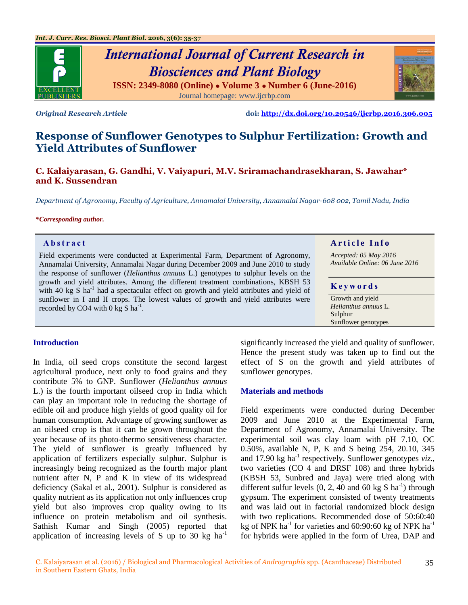

# *International Journal of Current Research in Biosciences and Plant Biology* **ISSN: 2349-8080 (Online) ● Volume 3 ● Number 6 (June-2016)**

Journal homepage: [www.ijcrbp.com](http://www.ijcrbp.com/)

*Original Research Article* **doi:<http://dx.doi.org/10.20546/ijcrbp.2016.306.005>**

# **Response of Sunflower Genotypes to Sulphur Fertilization: Growth and Yield Attributes of Sunflower**

**C. Kalaiyarasan, G. Gandhi, V. Vaiyapuri, M.V. Sriramachandrasekharan, S. Jawahar\* and K. Sussendran**

*Department of Agronomy, Faculty of Agriculture, Annamalai University, Annamalai Nagar-608 002, Tamil Nadu, India*

#### *\*Corresponding author.*

| Abstract                                                                                                                                                                               | <b>Article Info</b>            |
|----------------------------------------------------------------------------------------------------------------------------------------------------------------------------------------|--------------------------------|
| Field experiments were conducted at Experimental Farm, Department of Agronomy,                                                                                                         | Accepted: 05 May 2016          |
| Annamalai University, Annamalai Nagar during December 2009 and June 2010 to study                                                                                                      | Available Online: 06 June 2016 |
| the response of sunflower ( <i>Helianthus annuus</i> L.) genotypes to sulphur levels on the                                                                                            |                                |
| growth and yield attributes. Among the different treatment combinations, KBSH 53<br>with 40 kg S $\text{ha}^{-1}$ had a spectacular effect on growth and yield attributes and yield of | Keywords                       |
| sunflower in I and II crops. The lowest values of growth and yield attributes were                                                                                                     | Growth and yield               |
| recorded by CO4 with 0 kg S ha <sup>-1</sup> .                                                                                                                                         | Helianthus annuus L.           |
|                                                                                                                                                                                        | Sulphur                        |
|                                                                                                                                                                                        | Sunflower genotypes            |

## **Introduction**

In India, oil seed crops constitute the second largest agricultural produce, next only to food grains and they contribute 5% to GNP. Sunflower (*Helianthus annuus* L.) is the fourth important oilseed crop in India which can play an important role in reducing the shortage of edible oil and produce high yields of good quality oil for human consumption. Advantage of growing sunflower as an oilseed crop is that it can be grown throughout the year because of its photo-thermo sensitiveness character. The yield of sunflower is greatly influenced by application of fertilizers especially sulphur. Sulphur is increasingly being recognized as the fourth major plant nutrient after N, P and K in view of its widespread deficiency (Sakal et al., 2001). Sulphur is considered as quality nutrient as its application not only influences crop yield but also improves crop quality owing to its influence on protein metabolism and oil synthesis. Sathish Kumar and Singh (2005) reported that application of increasing levels of S up to 30 kg  $ha^{-1}$ 

significantly increased the yield and quality of sunflower. Hence the present study was taken up to find out the effect of S on the growth and yield attributes of sunflower genotypes.

## **Materials and methods**

Field experiments were conducted during December 2009 and June 2010 at the Experimental Farm, Department of Agronomy, Annamalai University. The experimental soil was clay loam with pH 7.10, OC 0.50%, available N, P, K and S being 254, 20.10, 345 and 17.90 kg ha<sup>-1</sup> respectively. Sunflower genotypes *viz.*, two varieties (CO 4 and DRSF 108) and three hybrids (KBSH 53, Sunbred and Jaya) were tried along with different sulfur levels  $(0, 2, 40$  and  $60$  kg S ha<sup>-1</sup>) through gypsum. The experiment consisted of twenty treatments and was laid out in factorial randomized block design with two replications. Recommended dose of 50:60:40 kg of NPK  $ha^{-1}$  for varieties and 60:90:60 kg of NPK  $ha^{-1}$ for hybrids were applied in the form of Urea, DAP and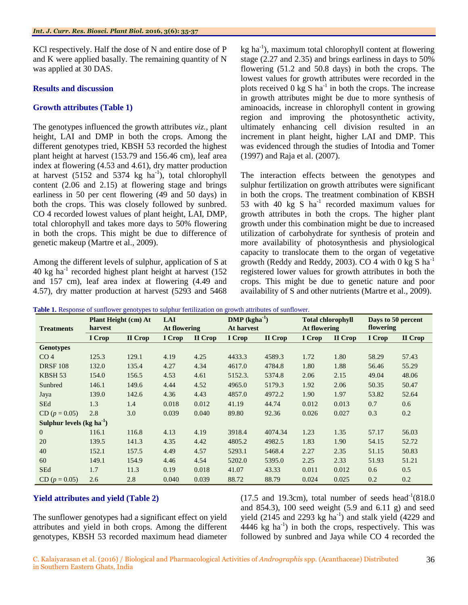KCl respectively. Half the dose of N and entire dose of P and K were applied basally. The remaining quantity of N was applied at 30 DAS.

## **Results and discussion**

## **Growth attributes (Table 1)**

The genotypes influenced the growth attributes *viz.,* plant height, LAI and DMP in both the crops. Among the different genotypes tried, KBSH 53 recorded the highest plant height at harvest (153.79 and 156.46 cm), leaf area index at flowering (4.53 and 4.61), dry matter production at harvest  $(5152 \text{ and } 5374 \text{ kg } \text{ha}^{-1})$ , total chlorophyll content (2.06 and 2.15) at flowering stage and brings earliness in 50 per cent flowering (49 and 50 days) in both the crops. This was closely followed by sunbred. CO 4 recorded lowest values of plant height, LAI, DMP, total chlorophyll and takes more days to 50% flowering in both the crops. This might be due to difference of genetic makeup (Martre et al., 2009).

Among the different levels of sulphur, application of S at 40 kg ha-1 recorded highest plant height at harvest (152 and 157 cm), leaf area index at flowering (4.49 and 4.57), dry matter production at harvest (5293 and 5468

kg ha<sup>-1</sup>), maximum total chlorophyll content at flowering stage (2.27 and 2.35) and brings earliness in days to 50% flowering (51.2 and 50.8 days) in both the crops. The lowest values for growth attributes were recorded in the plots received  $0 \text{ kg } S$  ha<sup>-1</sup> in both the crops. The increase in growth attributes might be due to more synthesis of aminoacids, increase in chlorophyll content in growing region and improving the photosynthetic activity, ultimately enhancing cell division resulted in an increment in plant height, higher LAI and DMP. This was evidenced through the studies of Intodia and Tomer (1997) and Raja et al. (2007).

The interaction effects between the genotypes and sulphur fertilization on growth attributes were significant in both the crops. The treatment combination of KBSH 53 with 40  $\text{kg}$  S ha<sup>-1</sup> recorded maximum values for growth attributes in both the crops. The higher plant growth under this combination might be due to increased utilization of carbohydrate for synthesis of protein and more availability of photosynthesis and physiological capacity to translocate them to the organ of vegetative growth (Reddy and Reddy, 2003). CO 4 with 0 kg S  $ha^{-1}$ registered lower values for growth attributes in both the crops. This might be due to genetic nature and poor availability of S and other nutrients (Martre et al., 2009).

| <b>Treatments</b>          | Plant Height (cm) At<br>harvest |         | <b>LAI</b><br>At flowering |         | $\bf DMP (kgha^{-1})$<br>At harvest |         | <b>Total chlorophyll</b><br>At flowering |         | Days to 50 percent<br>flowering |         |
|----------------------------|---------------------------------|---------|----------------------------|---------|-------------------------------------|---------|------------------------------------------|---------|---------------------------------|---------|
|                            | I Crop                          | II Crop | I Crop                     | II Crop | I Crop                              | II Crop | I Crop                                   | II Crop | I Crop                          | II Crop |
| <b>Genotypes</b>           |                                 |         |                            |         |                                     |         |                                          |         |                                 |         |
| CO <sub>4</sub>            | 125.3                           | 129.1   | 4.19                       | 4.25    | 4433.3                              | 4589.3  | 1.72                                     | 1.80    | 58.29                           | 57.43   |
| <b>DRSF 108</b>            | 132.0                           | 135.4   | 4.27                       | 4.34    | 4617.0                              | 4784.8  | 1.80                                     | 1.88    | 56.46                           | 55.29   |
| KBSH <sub>53</sub>         | 154.0                           | 156.5   | 4.53                       | 4.61    | 5152.3.                             | 5374.8  | 2.06                                     | 2.15    | 49.04                           | 48.06   |
| Sunbred                    | 146.1                           | 149.6   | 4.44                       | 4.52    | 4965.0                              | 5179.3  | 1.92                                     | 2.06    | 50.35                           | 50.47   |
| Jaya                       | 139.0                           | 142.6   | 4.36                       | 4.43    | 4857.0                              | 4972.2  | 1.90                                     | 1.97    | 53.82                           | 52.64   |
| <b>SEd</b>                 | 1.3                             | 1.4     | 0.018                      | 0.012   | 41.19                               | 44.74   | 0.012                                    | 0.013   | 0.7                             | 0.6     |
| $CD (p = 0.05)$            | 2.8                             | 3.0     | 0.039                      | 0.040   | 89.80                               | 92.36   | 0.026                                    | 0.027   | 0.3                             | 0.2     |
| Sulphur levels $(kg ha-1)$ |                                 |         |                            |         |                                     |         |                                          |         |                                 |         |
| $\overline{0}$             | 116.1                           | 116.8   | 4.13                       | 4.19    | 3918.4                              | 4074.34 | 1.23                                     | 1.35    | 57.17                           | 56.03   |
| 20                         | 139.5                           | 141.3   | 4.35                       | 4.42    | 4805.2                              | 4982.5  | 1.83                                     | 1.90    | 54.15                           | 52.72   |
| 40                         | 152.1                           | 157.5   | 4.49                       | 4.57    | 5293.1                              | 5468.4  | 2.27                                     | 2.35    | 51.15                           | 50.83   |
| 60                         | 149.1                           | 154.9   | 4.46                       | 4.54    | 5202.0                              | 5395.0  | 2.25                                     | 2.33    | 51.93                           | 51.21   |
| <b>SEd</b>                 | 1.7                             | 11.3    | 0.19                       | 0.018   | 41.07                               | 43.33   | 0.011                                    | 0.012   | 0.6                             | 0.5     |
| $CD (p = 0.05)$            | 2.6                             | 2.8     | 0.040                      | 0.039   | 88.72                               | 88.79   | 0.024                                    | 0.025   | 0.2                             | 0.2     |

**Table 1.** Response of sunflower genotypes to sulphur fertilization on growth attributes of sunflower.

## **Yield attributes and yield (Table 2)**

The sunflower genotypes had a significant effect on yield attributes and yield in both crops. Among the different genotypes, KBSH 53 recorded maximum head diameter

 $(17.5 \text{ and } 19.3 \text{cm})$ , total number of seeds head<sup>-1</sup> $(818.0 \text{ m})$ and 854.3), 100 seed weight (5.9 and 6.11 g) and seed yield (2145 and 2293  $kg$  ha<sup>-1</sup>) and stalk yield (4229 and  $4446 \text{ kg}$  ha<sup>-1</sup>) in both the crops, respectively. This was followed by sunbred and Jaya while CO 4 recorded the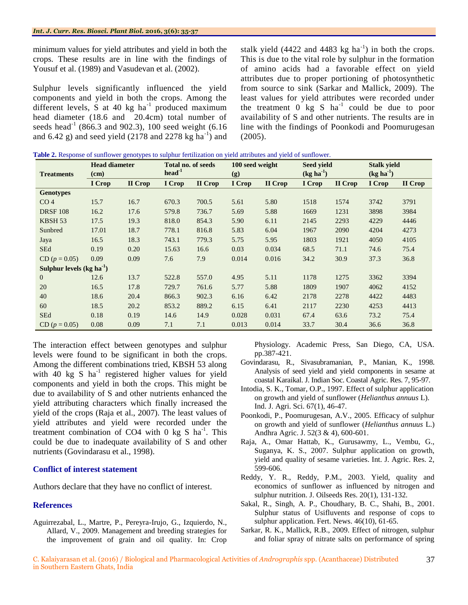minimum values for yield attributes and yield in both the crops. These results are in line with the findings of Yousuf et al. (1989) and Vasudevan et al. (2002).

Sulphur levels significantly influenced the yield components and yield in both the crops. Among the different levels, S at 40 kg  $ha^{-1}$  produced maximum head diameter (18.6 and 20.4cm) total number of seeds head<sup>-1</sup> (866.3 and 902.3), 100 seed weight (6.16) and 6.42 g) and seed yield  $(2178$  and  $2278$  kg ha<sup>-1</sup>) and

stalk yield  $(4422 \text{ and } 4483 \text{ kg ha}^{-1})$  in both the crops. This is due to the vital role by sulphur in the formation of amino acids had a favorable effect on yield attributes due to proper portioning of photosynthetic from source to sink (Sarkar and Mallick, 2009). The least values for yield attributes were recorded under the treatment  $0$  kg S ha<sup>-1</sup> could be due to poor availability of S and other nutrients. The results are in line with the findings of Poonkodi and Poomurugesan (2005).

|  |  |  |  |  |  | Table 2. Response of sunflower genotypes to sulphur fertilization on yield attributes and yield of sunflower. |
|--|--|--|--|--|--|---------------------------------------------------------------------------------------------------------------|
|--|--|--|--|--|--|---------------------------------------------------------------------------------------------------------------|

| <b>Treatments</b>          | <b>Head diameter</b><br>(cm) |         | Total no. of seeds<br>$head-1$ |         | 100 seed weight<br>(g) |         | Seed yield<br>$(kg ha^{-1})$ |         | <b>Stalk yield</b><br>$(kg ha-1)$ |         |
|----------------------------|------------------------------|---------|--------------------------------|---------|------------------------|---------|------------------------------|---------|-----------------------------------|---------|
|                            | I Crop                       | II Crop | I Crop                         | II Crop | I Crop                 | II Crop | I Crop                       | II Crop | I Crop                            | II Crop |
| <b>Genotypes</b>           |                              |         |                                |         |                        |         |                              |         |                                   |         |
| CO <sub>4</sub>            | 15.7                         | 16.7    | 670.3                          | 700.5   | 5.61                   | 5.80    | 1518                         | 1574    | 3742                              | 3791    |
| <b>DRSF 108</b>            | 16.2                         | 17.6    | 579.8                          | 736.7   | 5.69                   | 5.88    | 1669                         | 1231    | 3898                              | 3984    |
| KBSH <sub>53</sub>         | 17.5                         | 19.3    | 818.0                          | 854.3   | 5.90                   | 6.11    | 2145                         | 2293    | 4229                              | 4446    |
| Sunbred                    | 17.01                        | 18.7    | 778.1                          | 816.8   | 5.83                   | 6.04    | 1967                         | 2090    | 4204                              | 4273    |
| Jaya                       | 16.5                         | 18.3    | 743.1                          | 779.3   | 5.75                   | 5.95    | 1803                         | 1921    | 4050                              | 4105    |
| <b>SEd</b>                 | 0.19                         | 0.20    | 15.63                          | 16.6    | 0.03                   | 0.034   | 68.5                         | 71.1    | 74.6                              | 75.4    |
| $CD (p = 0.05)$            | 0.09                         | 0.09    | 7.6                            | 7.9     | 0.014                  | 0.016   | 34.2                         | 30.9    | 37.3                              | 36.8    |
| Sulphur levels $(kg ha-1)$ |                              |         |                                |         |                        |         |                              |         |                                   |         |
| $\overline{0}$             | 12.6                         | 13.7    | 522.8                          | 557.0   | 4.95                   | 5.11    | 1178                         | 1275    | 3362                              | 3394    |
| 20                         | 16.5                         | 17.8    | 729.7                          | 761.6   | 5.77                   | 5.88    | 1809                         | 1907    | 4062                              | 4152    |
| 40                         | 18.6                         | 20.4    | 866.3                          | 902.3   | 6.16                   | 6.42    | 2178                         | 2278    | 4422                              | 4483    |
| 60                         | 18.5                         | 20.2    | 853.2                          | 889.2   | 6.15                   | 6.41    | 2117                         | 2230    | 4253                              | 4413    |
| <b>SEd</b>                 | 0.18                         | 0.19    | 14.6                           | 14.9    | 0.028                  | 0.031   | 67.4                         | 63.6    | 73.2                              | 75.4    |
| $CD (p = 0.05)$            | 0.08                         | 0.09    | 7.1                            | 7.1     | 0.013                  | 0.014   | 33.7                         | 30.4    | 36.6                              | 36.8    |

The interaction effect between genotypes and sulphur levels were found to be significant in both the crops. Among the different combinations tried, KBSH 53 along with  $40 \text{ kg } S$  ha<sup>-1</sup> registered higher values for yield components and yield in both the crops. This might be due to availability of S and other nutrients enhanced the yield attributing characters which finally increased the yield of the crops (Raja et al., 2007). The least values of yield attributes and yield were recorded under the treatment combination of CO4 with  $0$  kg S ha<sup>-1</sup>. This could be due to inadequate availability of S and other nutrients (Govindarasu et al., 1998).

#### **Conflict of interest statement**

Authors declare that they have no conflict of interest.

#### **References**

Aguirrezabal, L., Martre, P., Pereyra-Irujo, G., Izquierdo, N., Allard, V., 2009. Management and breeding strategies for the improvement of grain and oil quality. In: Crop

Physiology. Academic Press, San Diego, CA, USA. pp.387-421.

- Govindarasu, R., Sivasubramanian, P., Manian, K., 1998. Analysis of seed yield and yield components in sesame at coastal Karaikal. J. Indian Soc. Coastal Agric. Res. 7, 95-97.
- Intodia, S. K., Tomar, O.P., 1997. Effect of sulphur application on growth and yield of sunflower (*Helianthus annuus* L). Ind. J. Agri. Sci. 67(1), 46-47.
- Poonkodi, P., Poomurugesan, A.V., 2005. Efficacy of sulphur on growth and yield of sunflower (*Helianthus annuus* L.) Andhra Agric. J. 52(3 & 4), 600-601.
- Raja, A., Omar Hattab, K., Gurusawmy, L., Vembu, G., Suganya, K. S., 2007. Sulphur application on growth, yield and quality of sesame varieties. Int. J. Agric. Res. 2, 599-606.
- Reddy, Y. R., Reddy, P.M., 2003. Yield, quality and economics of sunflower as influenced by nitrogen and sulphur nutrition. J. Oilseeds Res. 20(1), 131-132.
- Sakal, R., Singh, A. P., Choudhary, B. C., Shahi, B., 2001. Sulphur status of Usifluvents and response of cops to sulphur application. Fert. News. 46(10), 61-65.
- Sarkar, R. K., Mallick, R.B., 2009. Effect of nitrogen, sulphur and foliar spray of nitrate salts on performance of spring